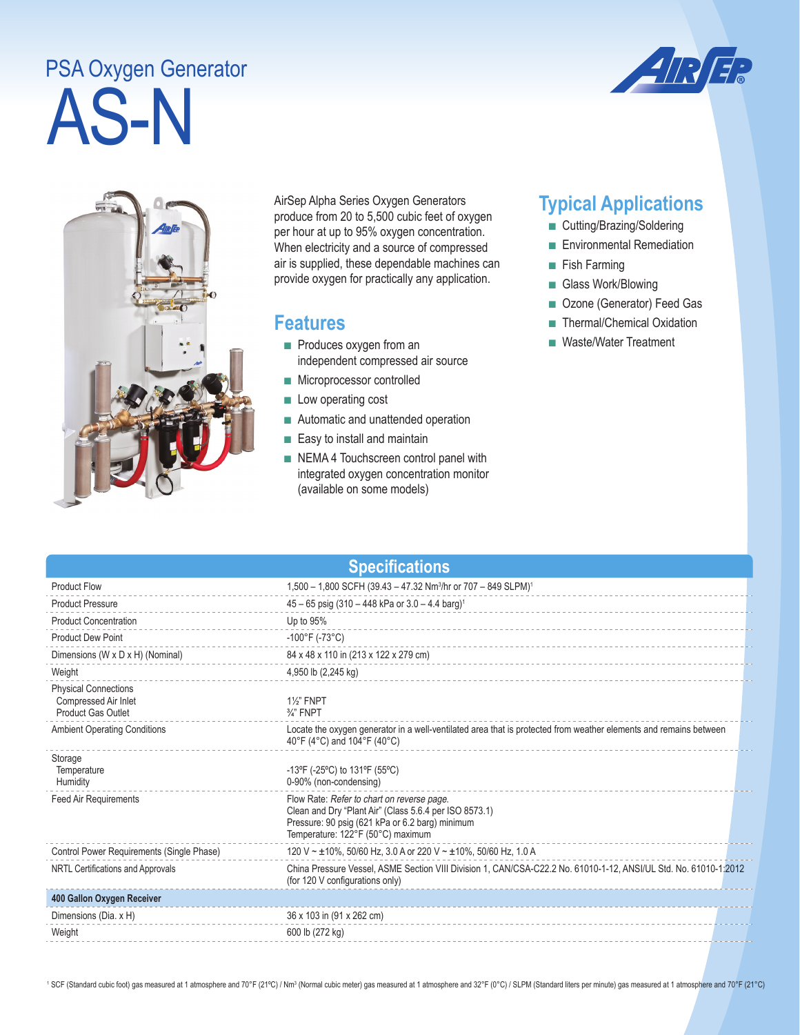## AS-N PSA Oxygen Generator





AirSep Alpha Series Oxygen Generators produce from 20 to 5,500 cubic feet of oxygen per hour at up to 95% oxygen concentration. When electricity and a source of compressed air is supplied, these dependable machines can provide oxygen for practically any application.

## **Features**

- Produces oxygen from an independent compressed air source
- Microprocessor controlled
- Low operating cost
- Automatic and unattended operation
- Easy to install and maintain
- NEMA 4 Touchscreen control panel with integrated oxygen concentration monitor (available on some models)

## **Typical Applications**

- Cutting/Brazing/Soldering
- Environmental Remediation
- Fish Farming
- Glass Work/Blowing
- Ozone (Generator) Feed Gas
- Thermal/Chemical Oxidation
- Waste/Water Treatment

| <b>Specifications</b>                                                     |                                                                                                                                                                                              |  |  |
|---------------------------------------------------------------------------|----------------------------------------------------------------------------------------------------------------------------------------------------------------------------------------------|--|--|
| <b>Product Flow</b>                                                       | 1,500 - 1,800 SCFH (39.43 - 47.32 Nm <sup>3</sup> /hr or 707 - 849 SLPM) <sup>1</sup>                                                                                                        |  |  |
| <b>Product Pressure</b>                                                   | $45 - 65$ psig (310 - 448 kPa or 3.0 - 4.4 barg) <sup>1</sup>                                                                                                                                |  |  |
| <b>Product Concentration</b>                                              | Up to 95%                                                                                                                                                                                    |  |  |
| <b>Product Dew Point</b>                                                  | $-100^{\circ}$ F (-73 $^{\circ}$ C)                                                                                                                                                          |  |  |
| Dimensions (W x D x H) (Nominal)                                          | 84 x 48 x 110 in (213 x 122 x 279 cm)                                                                                                                                                        |  |  |
| Weight                                                                    | 4,950 lb (2,245 kg)                                                                                                                                                                          |  |  |
| <b>Physical Connections</b><br>Compressed Air Inlet<br>Product Gas Outlet | <b>1%" FNPT</b><br>$\frac{3}{4}$ " FNPT                                                                                                                                                      |  |  |
| <b>Ambient Operating Conditions</b>                                       | Locate the oxygen generator in a well-ventilated area that is protected from weather elements and remains between<br>40°F (4°C) and 104°F (40°C)                                             |  |  |
| Storage<br>Temperature<br>Humidity                                        | $-13^{\circ}F$ (-25 $^{\circ}C$ ) to 131 $^{\circ}F$ (55 $^{\circ}C$ )<br>0-90% (non-condensing)                                                                                             |  |  |
| <b>Feed Air Requirements</b>                                              | Flow Rate: Refer to chart on reverse page.<br>Clean and Dry "Plant Air" (Class 5.6.4 per ISO 8573.1)<br>Pressure: 90 psig (621 kPa or 6.2 barg) minimum<br>Temperature: 122°F (50°C) maximum |  |  |
| Control Power Requirements (Single Phase)                                 | 120 V ~ ±10%, 50/60 Hz, 3.0 A or 220 V ~ ±10%, 50/60 Hz, 1.0 A                                                                                                                               |  |  |
| NRTL Certifications and Approvals                                         | China Pressure Vessel, ASME Section VIII Division 1, CAN/CSA-C22.2 No. 61010-1-12, ANSI/UL Std. No. 61010-1:2012<br>(for 120 V configurations only)                                          |  |  |
| 400 Gallon Oxygen Receiver                                                |                                                                                                                                                                                              |  |  |
| Dimensions (Dia. x H)                                                     | 36 x 103 in (91 x 262 cm)                                                                                                                                                                    |  |  |
| Weight                                                                    | 600 lb (272 kg)                                                                                                                                                                              |  |  |

<sup>1</sup> SCF (Standard cubic foot) gas measured at 1 atmosphere and 70°F (21°C) / Nm<sup>3</sup> (Normal cubic meter) gas measured at 1 atmosphere and 32°F (0°C) / SLPM (Standard liters per minute) gas measured at 1 atmosphere and 70°F